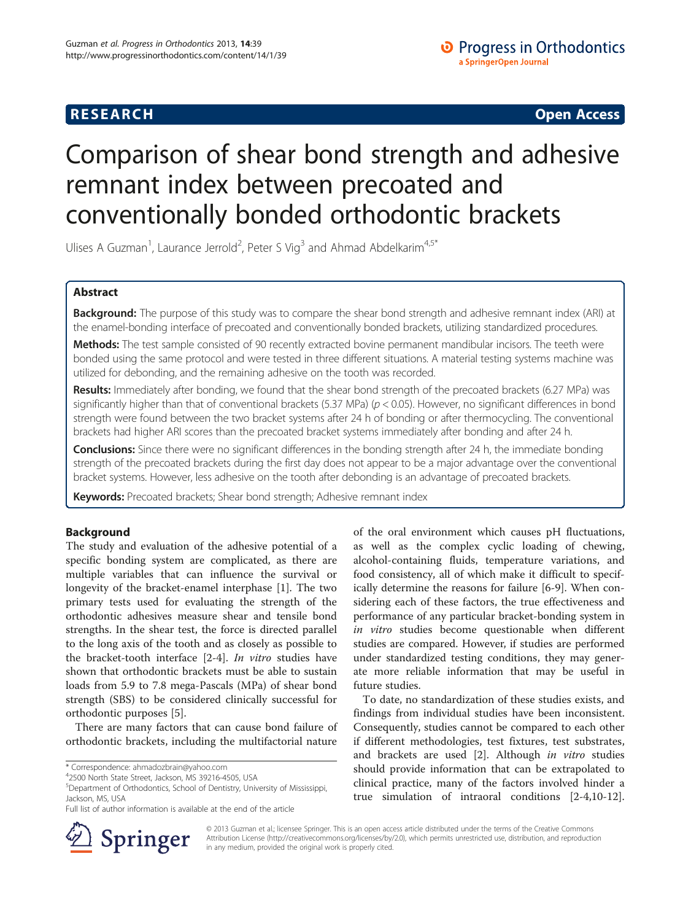# **RESEARCH CHINESE ARCH CHINESE ARCH CHINESE ARCH <b>CHINESE ARCH**

# Comparison of shear bond strength and adhesive remnant index between precoated and conventionally bonded orthodontic brackets

Ulises A Guzman<sup>1</sup>, Laurance Jerrold<sup>2</sup>, Peter S Vig<sup>3</sup> and Ahmad Abdelkarim<sup>4,5\*</sup>

# Abstract

Background: The purpose of this study was to compare the shear bond strength and adhesive remnant index (ARI) at the enamel-bonding interface of precoated and conventionally bonded brackets, utilizing standardized procedures.

Methods: The test sample consisted of 90 recently extracted bovine permanent mandibular incisors. The teeth were bonded using the same protocol and were tested in three different situations. A material testing systems machine was utilized for debonding, and the remaining adhesive on the tooth was recorded.

Results: Immediately after bonding, we found that the shear bond strength of the precoated brackets (6.27 MPa) was significantly higher than that of conventional brackets (5.37 MPa)  $(p < 0.05)$ . However, no significant differences in bond strength were found between the two bracket systems after 24 h of bonding or after thermocycling. The conventional brackets had higher ARI scores than the precoated bracket systems immediately after bonding and after 24 h.

Conclusions: Since there were no significant differences in the bonding strength after 24 h, the immediate bonding strength of the precoated brackets during the first day does not appear to be a major advantage over the conventional bracket systems. However, less adhesive on the tooth after debonding is an advantage of precoated brackets.

Keywords: Precoated brackets; Shear bond strength; Adhesive remnant index

# Background

The study and evaluation of the adhesive potential of a specific bonding system are complicated, as there are multiple variables that can influence the survival or longevity of the bracket-enamel interphase [[1](#page-4-0)]. The two primary tests used for evaluating the strength of the orthodontic adhesives measure shear and tensile bond strengths. In the shear test, the force is directed parallel to the long axis of the tooth and as closely as possible to the bracket-tooth interface [\[2](#page-4-0)-[4\]](#page-4-0). In vitro studies have shown that orthodontic brackets must be able to sustain loads from 5.9 to 7.8 mega-Pascals (MPa) of shear bond strength (SBS) to be considered clinically successful for orthodontic purposes [[5](#page-4-0)].

There are many factors that can cause bond failure of orthodontic brackets, including the multifactorial nature



To date, no standardization of these studies exists, and findings from individual studies have been inconsistent. Consequently, studies cannot be compared to each other if different methodologies, test fixtures, test substrates, and brackets are used [\[2](#page-4-0)]. Although in vitro studies should provide information that can be extrapolated to clinical practice, many of the factors involved hinder a true simulation of intraoral conditions [[2](#page-4-0)-[4,10-12](#page-4-0)].



© 2013 Guzman et al.; licensee Springer. This is an open access article distributed under the terms of the Creative Commons Attribution License [\(http://creativecommons.org/licenses/by/2.0\)](http://creativecommons.org/licenses/by/2.0), which permits unrestricted use, distribution, and reproduction in any medium, provided the original work is properly cited.

<sup>\*</sup> Correspondence: [ahmadozbrain@yahoo.com](mailto:ahmadozbrain@yahoo.com) <sup>4</sup>

<sup>2500</sup> North State Street, Jackson, MS 39216-4505, USA

<sup>5</sup> Department of Orthodontics, School of Dentistry, University of Mississippi, Jackson, MS, USA

Full list of author information is available at the end of the article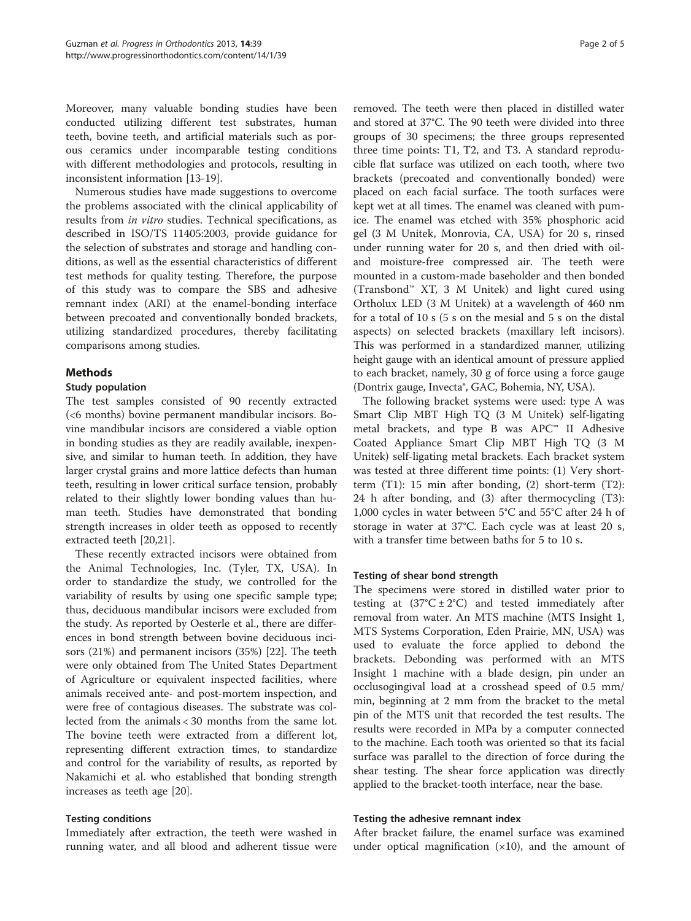Moreover, many valuable bonding studies have been conducted utilizing different test substrates, human teeth, bovine teeth, and artificial materials such as porous ceramics under incomparable testing conditions with different methodologies and protocols, resulting in inconsistent information [\[13](#page-4-0)-[19\]](#page-4-0).

Numerous studies have made suggestions to overcome the problems associated with the clinical applicability of results from in vitro studies. Technical specifications, as described in ISO/TS 11405:2003, provide guidance for the selection of substrates and storage and handling conditions, as well as the essential characteristics of different test methods for quality testing. Therefore, the purpose of this study was to compare the SBS and adhesive remnant index (ARI) at the enamel-bonding interface between precoated and conventionally bonded brackets, utilizing standardized procedures, thereby facilitating comparisons among studies.

# Methods

## Study population

The test samples consisted of 90 recently extracted (<6 months) bovine permanent mandibular incisors. Bovine mandibular incisors are considered a viable option in bonding studies as they are readily available, inexpensive, and similar to human teeth. In addition, they have larger crystal grains and more lattice defects than human teeth, resulting in lower critical surface tension, probably related to their slightly lower bonding values than human teeth. Studies have demonstrated that bonding strength increases in older teeth as opposed to recently extracted teeth [[20,21\]](#page-4-0).

These recently extracted incisors were obtained from the Animal Technologies, Inc. (Tyler, TX, USA). In order to standardize the study, we controlled for the variability of results by using one specific sample type; thus, deciduous mandibular incisors were excluded from the study. As reported by Oesterle et al., there are differences in bond strength between bovine deciduous incisors (21%) and permanent incisors (35%) [\[22](#page-4-0)]. The teeth were only obtained from The United States Department of Agriculture or equivalent inspected facilities, where animals received ante- and post-mortem inspection, and were free of contagious diseases. The substrate was collected from the animals < 30 months from the same lot. The bovine teeth were extracted from a different lot, representing different extraction times, to standardize and control for the variability of results, as reported by Nakamichi et al. who established that bonding strength increases as teeth age [\[20\]](#page-4-0).

## Testing conditions

Immediately after extraction, the teeth were washed in running water, and all blood and adherent tissue were

removed. The teeth were then placed in distilled water and stored at 37°C. The 90 teeth were divided into three groups of 30 specimens; the three groups represented three time points: T1, T2, and T3. A standard reproducible flat surface was utilized on each tooth, where two brackets (precoated and conventionally bonded) were placed on each facial surface. The tooth surfaces were kept wet at all times. The enamel was cleaned with pumice. The enamel was etched with 35% phosphoric acid gel (3 M Unitek, Monrovia, CA, USA) for 20 s, rinsed under running water for 20 s, and then dried with oiland moisture-free compressed air. The teeth were mounted in a custom-made baseholder and then bonded (Transbond™ XT, 3 M Unitek) and light cured using Ortholux LED (3 M Unitek) at a wavelength of 460 nm for a total of 10 s (5 s on the mesial and 5 s on the distal aspects) on selected brackets (maxillary left incisors). This was performed in a standardized manner, utilizing height gauge with an identical amount of pressure applied to each bracket, namely, 30 g of force using a force gauge (Dontrix gauge, Invecta®, GAC, Bohemia, NY, USA).

The following bracket systems were used: type A was Smart Clip MBT High TQ (3 M Unitek) self-ligating metal brackets, and type B was APC™ II Adhesive Coated Appliance Smart Clip MBT High TQ (3 M Unitek) self-ligating metal brackets. Each bracket system was tested at three different time points: (1) Very shortterm (T1): 15 min after bonding, (2) short-term (T2): 24 h after bonding, and (3) after thermocycling (T3): 1,000 cycles in water between 5°C and 55°C after 24 h of storage in water at 37°C. Each cycle was at least 20 s, with a transfer time between baths for 5 to 10 s.

# Testing of shear bond strength

The specimens were stored in distilled water prior to testing at  $(37^{\circ}C \pm 2^{\circ}C)$  and tested immediately after removal from water. An MTS machine (MTS Insight 1, MTS Systems Corporation, Eden Prairie, MN, USA) was used to evaluate the force applied to debond the brackets. Debonding was performed with an MTS Insight 1 machine with a blade design, pin under an occlusogingival load at a crosshead speed of 0.5 mm/ min, beginning at 2 mm from the bracket to the metal pin of the MTS unit that recorded the test results. The results were recorded in MPa by a computer connected to the machine. Each tooth was oriented so that its facial surface was parallel to the direction of force during the shear testing. The shear force application was directly applied to the bracket-tooth interface, near the base.

## Testing the adhesive remnant index

After bracket failure, the enamel surface was examined under optical magnification  $(x10)$ , and the amount of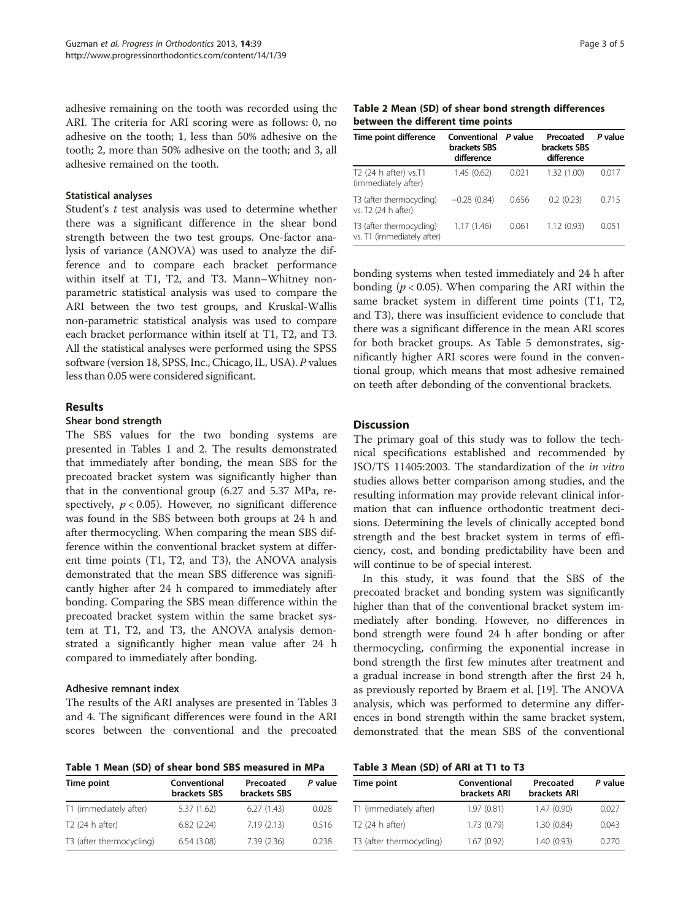adhesive remaining on the tooth was recorded using the ARI. The criteria for ARI scoring were as follows: 0, no adhesive on the tooth; 1, less than 50% adhesive on the tooth; 2, more than 50% adhesive on the tooth; and 3, all adhesive remained on the tooth.

## Statistical analyses

Student's  $t$  test analysis was used to determine whether there was a significant difference in the shear bond strength between the two test groups. One-factor analysis of variance (ANOVA) was used to analyze the difference and to compare each bracket performance within itself at T1, T2, and T3. Mann–Whitney nonparametric statistical analysis was used to compare the ARI between the two test groups, and Kruskal-Wallis non-parametric statistical analysis was used to compare each bracket performance within itself at T1, T2, and T3. All the statistical analyses were performed using the SPSS software (version 18, SPSS, Inc., Chicago, IL, USA). P values less than 0.05 were considered significant.

## Results

#### Shear bond strength

The SBS values for the two bonding systems are presented in Tables 1 and 2. The results demonstrated that immediately after bonding, the mean SBS for the precoated bracket system was significantly higher than that in the conventional group (6.27 and 5.37 MPa, respectively,  $p < 0.05$ ). However, no significant difference was found in the SBS between both groups at 24 h and after thermocycling. When comparing the mean SBS difference within the conventional bracket system at different time points (T1, T2, and T3), the ANOVA analysis demonstrated that the mean SBS difference was significantly higher after 24 h compared to immediately after bonding. Comparing the SBS mean difference within the precoated bracket system within the same bracket system at T1, T2, and T3, the ANOVA analysis demonstrated a significantly higher mean value after 24 h compared to immediately after bonding.

## Adhesive remnant index

The results of the ARI analyses are presented in Tables 3 and [4.](#page-3-0) The significant differences were found in the ARI scores between the conventional and the precoated

Table 1 Mean (SD) of shear bond SBS measured in MPa

| Time point               | Conventional<br>brackets SBS | Precoated<br>brackets SBS | P value |
|--------------------------|------------------------------|---------------------------|---------|
| T1 (immediately after)   | 5.37 (1.62)                  | 6.27(1.43)                | 0.028   |
| T2 (24 h after)          | 6.82(2.24)                   | 7.19(2.13)                | 0.516   |
| T3 (after thermocycling) | 6.54(3.08)                   | 7.39(2.36)                | 0238    |

Table 2 Mean (SD) of shear bond strength differences between the different time points

| Time point difference                                  | Conventional<br>brackets SBS<br>difference | P value | Precoated<br>brackets SBS<br>difference | P value |
|--------------------------------------------------------|--------------------------------------------|---------|-----------------------------------------|---------|
| T2 (24 h after) vs.T1<br>(immediately after)           | 1.45(0.62)                                 | 0.021   | 1.32(1.00)                              | 0.017   |
| T3 (after thermocycling)<br>vs. T2 (24 h after)        | $-0.28(0.84)$                              | 0.656   | 0.2(0.23)                               | 0.715   |
| T3 (after thermocycling)<br>vs. T1 (immediately after) | 1.17(1.46)                                 | 0.061   | 1.12(0.93)                              | 0.051   |

bonding systems when tested immediately and 24 h after bonding ( $p < 0.05$ ). When comparing the ARI within the same bracket system in different time points (T1, T2, and T3), there was insufficient evidence to conclude that there was a significant difference in the mean ARI scores for both bracket groups. As Table [5](#page-3-0) demonstrates, significantly higher ARI scores were found in the conventional group, which means that most adhesive remained on teeth after debonding of the conventional brackets.

# Discussion

The primary goal of this study was to follow the technical specifications established and recommended by ISO/TS 11405:2003. The standardization of the in vitro studies allows better comparison among studies, and the resulting information may provide relevant clinical information that can influence orthodontic treatment decisions. Determining the levels of clinically accepted bond strength and the best bracket system in terms of efficiency, cost, and bonding predictability have been and will continue to be of special interest.

In this study, it was found that the SBS of the precoated bracket and bonding system was significantly higher than that of the conventional bracket system immediately after bonding. However, no differences in bond strength were found 24 h after bonding or after thermocycling, confirming the exponential increase in bond strength the first few minutes after treatment and a gradual increase in bond strength after the first 24 h, as previously reported by Braem et al. [\[19](#page-4-0)]. The ANOVA analysis, which was performed to determine any differences in bond strength within the same bracket system, demonstrated that the mean SBS of the conventional

### Table 3 Mean (SD) of ARI at T1 to T3

| Time point               | Conventional<br>brackets ARI | Precoated<br>brackets ARI | P value |
|--------------------------|------------------------------|---------------------------|---------|
| T1 (immediately after)   | 1.97(0.81)                   | 1.47(0.90)                | 0.027   |
| T2 (24 h after)          | 1.73(0.79)                   | 1.30(0.84)                | 0.043   |
| T3 (after thermocycling) | 1.67(0.92)                   | 1.40(0.93)                | 0.270   |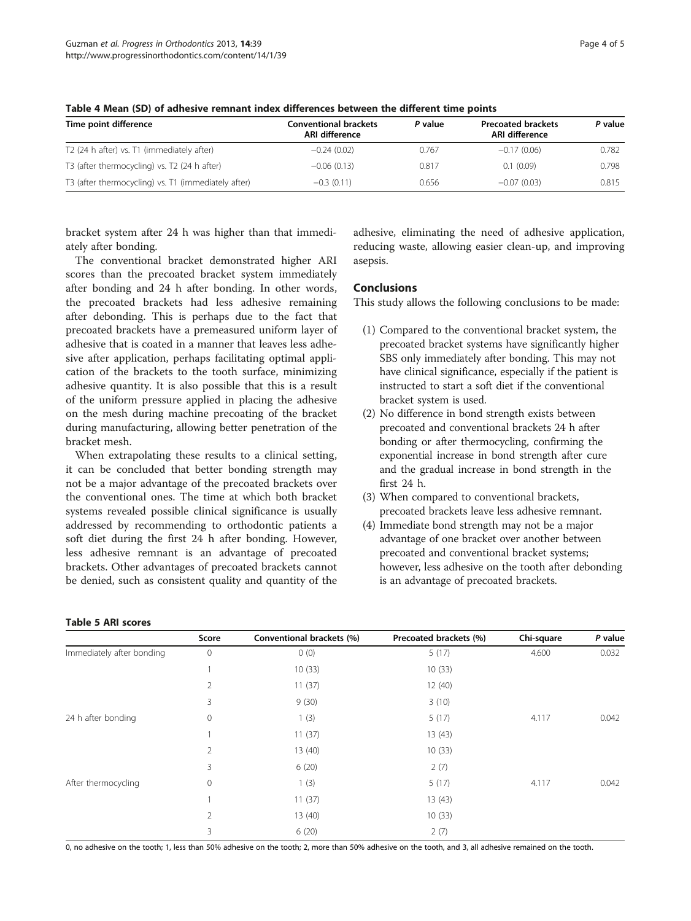| <b>Conventional brackets</b><br>ARI difference | P value | <b>Precoated brackets</b><br>ARI difference | P value |  |
|------------------------------------------------|---------|---------------------------------------------|---------|--|
| $-0.24(0.02)$                                  | 0.767   | $-0.17(0.06)$                               | 0.782   |  |
| $-0.06(0.13)$                                  | 0.817   | 0.1(0.09)                                   | 0.798   |  |
| $-0.3(0.11)$                                   | 0.656   | $-0.07(0.03)$                               | 0.815   |  |
|                                                |         |                                             |         |  |

<span id="page-3-0"></span>Table 4 Mean (SD) of adhesive remnant index differences between the different time points

bracket system after 24 h was higher than that immediately after bonding.

The conventional bracket demonstrated higher ARI scores than the precoated bracket system immediately after bonding and 24 h after bonding. In other words, the precoated brackets had less adhesive remaining after debonding. This is perhaps due to the fact that precoated brackets have a premeasured uniform layer of adhesive that is coated in a manner that leaves less adhesive after application, perhaps facilitating optimal application of the brackets to the tooth surface, minimizing adhesive quantity. It is also possible that this is a result of the uniform pressure applied in placing the adhesive on the mesh during machine precoating of the bracket during manufacturing, allowing better penetration of the bracket mesh.

When extrapolating these results to a clinical setting, it can be concluded that better bonding strength may not be a major advantage of the precoated brackets over the conventional ones. The time at which both bracket systems revealed possible clinical significance is usually addressed by recommending to orthodontic patients a soft diet during the first 24 h after bonding. However, less adhesive remnant is an advantage of precoated brackets. Other advantages of precoated brackets cannot be denied, such as consistent quality and quantity of the

adhesive, eliminating the need of adhesive application, reducing waste, allowing easier clean-up, and improving asepsis.

# **Conclusions**

This study allows the following conclusions to be made:

- (1) Compared to the conventional bracket system, the precoated bracket systems have significantly higher SBS only immediately after bonding. This may not have clinical significance, especially if the patient is instructed to start a soft diet if the conventional bracket system is used.
- (2) No difference in bond strength exists between precoated and conventional brackets 24 h after bonding or after thermocycling, confirming the exponential increase in bond strength after cure and the gradual increase in bond strength in the first 24 h.
- (3) When compared to conventional brackets, precoated brackets leave less adhesive remnant.
- (4) Immediate bond strength may not be a major advantage of one bracket over another between precoated and conventional bracket systems; however, less adhesive on the tooth after debonding is an advantage of precoated brackets.

|                           | Score          | Conventional brackets (%) | Precoated brackets (%) | Chi-square | P value |
|---------------------------|----------------|---------------------------|------------------------|------------|---------|
| Immediately after bonding | $\mathbf 0$    | 0(0)                      | 5(17)                  | 4.600      | 0.032   |
|                           |                | 10(33)                    | 10(33)                 |            |         |
|                           | $\overline{2}$ | 11(37)                    | 12(40)                 |            |         |
|                           | 3              | 9(30)                     | 3(10)                  |            |         |
| 24 h after bonding        | $\mathbf 0$    | 1(3)                      | 5(17)                  | 4.117      | 0.042   |
|                           |                | 11(37)                    | 13(43)                 |            |         |
|                           | 2              | 13(40)                    | 10(33)                 |            |         |
|                           | 3              | 6(20)                     | 2(7)                   |            |         |
| After thermocycling       | $\mathbf{0}$   | 1(3)                      | 5(17)                  | 4.117      | 0.042   |
|                           |                | 11(37)                    | 13(43)                 |            |         |
|                           | $\overline{2}$ | 13(40)                    | 10(33)                 |            |         |
|                           | 3              | 6(20)                     | 2(7)                   |            |         |

#### Table 5 ARI scores

0, no adhesive on the tooth; 1, less than 50% adhesive on the tooth; 2, more than 50% adhesive on the tooth, and 3, all adhesive remained on the tooth.